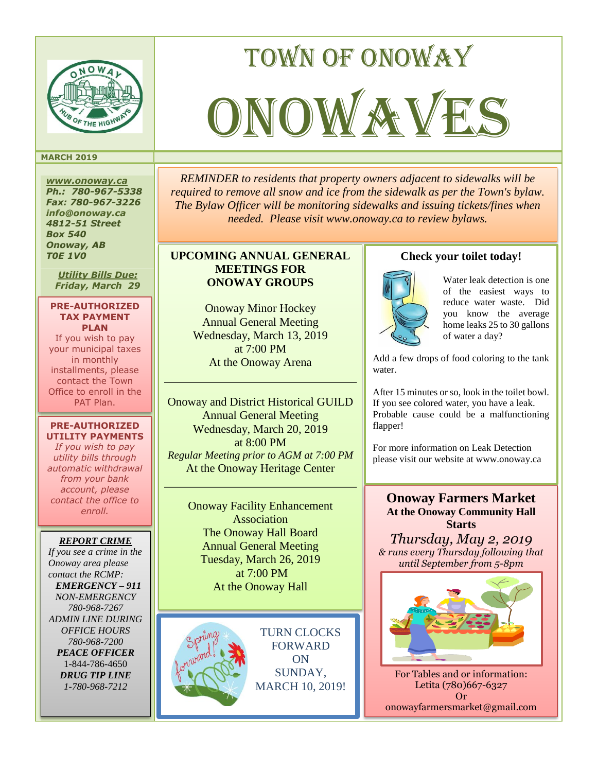

#### **MARCH 2019**

*www.onoway.ca Ph.: 780-967-5338 Fax: 780-967-3226 info@onoway.ca 4812-51 Street Box 540 Onoway, AB T0E 1V0*

*Utility Bills Due: Friday, March 29*

#### **PRE-AUTHORIZED TAX PAYMENT PLAN**

If you wish to pay your municipal taxes in monthly installments, please contact the Town Office to enroll in the PAT Plan.

#### **PRE-AUTHORIZED UTILITY PAYMENTS**

*If you wish to pay utility bills through automatic withdrawal from your bank account, please contact the office to enroll.*

#### *REPORT CRIME*

*If you see a crime in the Onoway area please contact the RCMP: EMERGENCY – 911 NON-EMERGENCY 780-968-7267 ADMIN LINE DURING OFFICE HOURS 780-968-7200 PEACE OFFICER* 1-844-786-4650 *DRUG TIP LINE 1-780-968-7212*

## *REMINDER to residents that property owners adjacent to sidewalks will be required to remove all snow and ice from the sidewalk as per the Town's bylaw. The Bylaw Officer will be monitoring sidewalks and issuing tickets/fines when needed. Please visit www.onoway.ca to review bylaws.*

Town of onoway

ONOW AVES

## **UPCOMING ANNUAL GENERAL MEETINGS FOR ONOWAY GROUPS**

Onoway Minor Hockey Annual General Meeting Wednesday, March 13, 2019 at 7:00 PM At the Onoway Arena

Onoway and District Historical GUILD Annual General Meeting Wednesday, March 20, 2019 at 8:00 PM *Regular Meeting prior to AGM at 7:00 PM* At the Onoway Heritage Center

> Onoway Facility Enhancement Association The Onoway Hall Board Annual General Meeting Tuesday, March 26, 2019 at 7:00 PM At the Onoway Hall



TURN CLOCKS FORWARD ON SUNDAY, MARCH 10, 2019!

## **Check your toilet today!**



Water leak detection is one of the easiest ways to reduce water waste. Did you know the average home leaks 25 to 30 gallons of water a day?

Add a few drops of food coloring to the tank water.

After 15 minutes or so, look in the toilet bowl. If you see colored water, you have a leak. Probable cause could be a malfunctioning flapper!

For more information on Leak Detection please visit our website at www.onoway.ca

**Onoway Farmers Market At the Onoway Community Hall Starts**

*Thursday, May 2, 2019 & runs every Thursday following that until September from 5-8pm*



For Tables and or information: Letita (780)667-6327 Or onowayfarmersmarket@gmail.com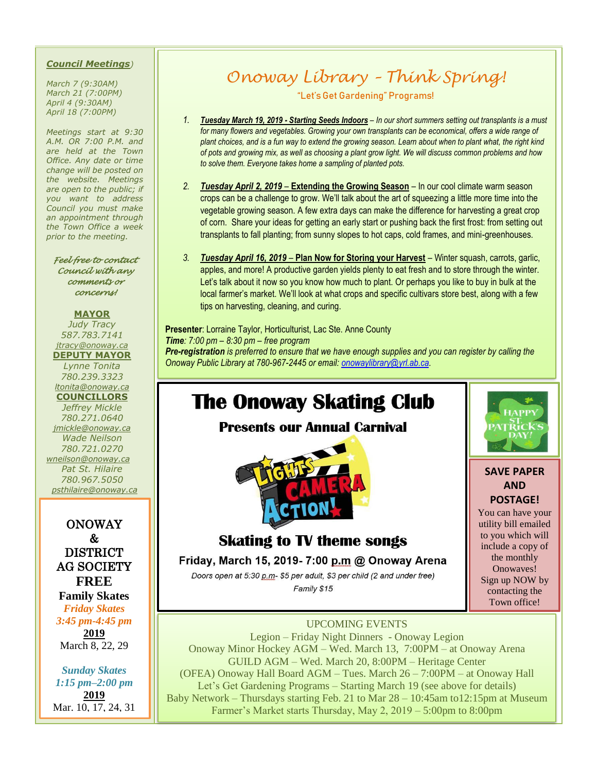#### *Council Meetings)*

*March 7 (9:30AM) March 21 (7:00PM) April 4 (9:30AM) April 18 (7:00PM)*

*Meetings start at 9:30 A.M. OR 7:00 P.M. and are held at the Town Office. Any date or time change will be posted on the website. Meetings are open to the public; if you want to address Council you must make an appointment through the Town Office a week prior to the meeting.*

*Feel free to contact Council with any comments or concerns!* 

#### **MAYOR**

*Judy Tracy 587.783.7141 jtracy@onoway.ca* **DEPUTY MAYOR** *Lynne Tonita 780.239.3323 [ltonita@onoway.ca](mailto:ltonita@onoway.ca)* **COUNCILLORS** *Jeffrey Mickle 780.271.0640*

*jmickle@onoway.ca Wade Neilson 780.721.0270 [wneilson@onoway.ca](mailto:wneilson@onoway.ca) Pat St. Hilaire 780.967.5050 [psthilaire@onoway.ca](mailto:psthilaire@onoway.ca)*

## ONOWAY & DISTRICT AG SOCIETY **FREE**

**Family Skates** *Friday Skates*

*3:45 pm-4:45 pm* **2019** March 8, 22, 29

*Sunday Skates 1:15 pm–2:00 pm* **2019** Mar. 10, 17, 24, 31

# *Onoway Library – Think Spring!*

"Let's Get Gardening" Programs!

- *1. Tuesday March 19, 2019 - Starting Seeds Indoors – In our short summers setting out transplants is a must for many flowers and vegetables. Growing your own transplants can be economical, offers a wide range of plant choices, and is a fun way to extend the growing season. Learn about when to plant what, the right kind of pots and growing mix, as well as choosing a plant grow light. We will discuss common problems and how to solve them. Everyone takes home a sampling of planted pots.*
- *2. Tuesday April 2, 2019*  **Extending the Growing Season** In our cool climate warm season crops can be a challenge to grow. We'll talk about the art of squeezing a little more time into the vegetable growing season. A few extra days can make the difference for harvesting a great crop of corn. Share your ideas for getting an early start or pushing back the first frost: from setting out transplants to fall planting; from sunny slopes to hot caps, cold frames, and mini-greenhouses.
- *3. Tuesday April 16, 2019*  **Plan Now for Storing your Harvest** Winter squash, carrots, garlic, apples, and more! A productive garden yields plenty to eat fresh and to store through the winter. Let's talk about it now so you know how much to plant. Or perhaps you like to buy in bulk at the local farmer's market. We'll look at what crops and specific cultivars store best, along with a few tips on harvesting, cleaning, and curing.

**Presenter**: Lorraine Taylor, Horticulturist, Lac Ste. Anne County *Time: 7:00 pm – 8:30 pm – free program Pre-registration is preferred to ensure that we have enough supplies and you can register by calling the Onoway Public Library at 780-967-2445 or email: [onowaylibrary@yrl.ab.ca.](mailto:onowaylibrary@yrl.ab.ca)* 

## **The Onoway Skating Club**

**Presents our Annual Carnival** 





### **SAVE PAPER AND POSTAGE!**

You can have your utility bill emailed to you which will include a copy of the monthly Onowaves! Sign up NOW by contacting the Town office!

## **Skating to TV theme songs** Friday, March 15, 2019- 7:00 p.m @ Onoway Arena

Doors open at 5:30 p.m- \$5 per adult, \$3 per child (2 and under free) Family \$15

UPCOMING EVENTS Legion – Friday Night Dinners - Onoway Legion Onoway Minor Hockey AGM – Wed. March 13, 7:00PM – at Onoway Arena GUILD AGM – Wed. March 20, 8:00PM – Heritage Center (OFEA) Onoway Hall Board AGM – Tues. March 26 – 7:00PM – at Onoway Hall Let's Get Gardening Programs – Starting March 19 (see above for details) Baby Network – Thursdays starting Feb. 21 to Mar 28 – 10:45am to12:15pm at Museum Farmer's Market starts Thursday, May 2, 2019 – 5:00pm to 8:00pm